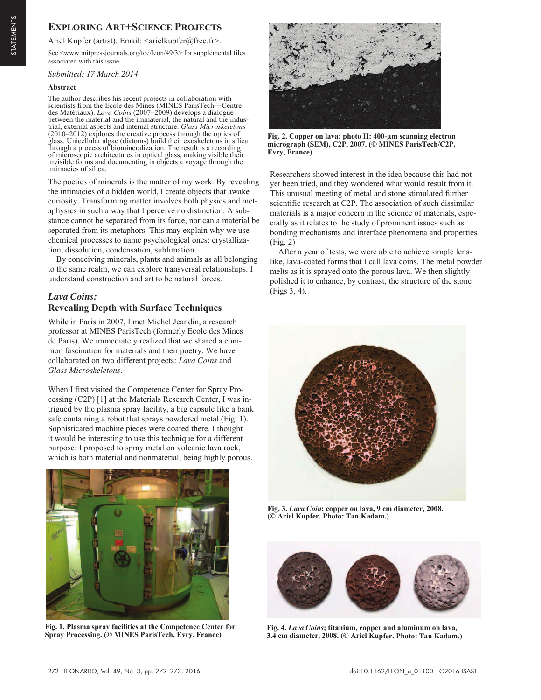# **EXPLORING ART+SCIENCE PROJECTS**

Ariel Kupfer (artist). Email: <arielkupfer@free.fr>.

See <www.mitpressjournals.org/toc/leon/49/3> for supplemental files associated with this issue.

*Submitted: 17 March 2014* 

#### **Abstract**

The author describes his recent projects in collaboration with scientists from the Ecole des Mines (MINES ParisTech—Centre des Matériaux). *Lava Coins* (2007–2009) develops a dialogue between the material and the immaterial, the natural and the industrial, external aspects and internal structure. *Glass Microskeletons* (2010–2012) explores the creative process through the optics of glass. Unicellular algae (diatoms) build their exoskeletons in silica through a process of biomineralization. The result is a recording of microscopic architectures in optical glass, making visible their invisible forms and documenting in objects a voyage through the intimacies of silica.

The poetics of minerals is the matter of my work. By revealing the intimacies of a hidden world, I create objects that awake curiosity. Transforming matter involves both physics and metaphysics in such a way that I perceive no distinction. A substance cannot be separated from its force, nor can a material be separated from its metaphors. This may explain why we use chemical processes to name psychological ones: crystallization, dissolution, condensation, sublimation.

By conceiving minerals, plants and animals as all belonging to the same realm, we can explore transversal relationships. I understand construction and art to be natural forces.

## *Lava Coins:* **Revealing Depth with Surface Techniques**

While in Paris in 2007, I met Michel Jeandin, a research professor at MINES ParisTech (formerly Ecole des Mines de Paris). We immediately realized that we shared a common fascination for materials and their poetry. We have collaborated on two different projects: *Lava Coins* and *Glass Microskeletons*.

When I first visited the Competence Center for Spray Processing (C2P) [1] at the Materials Research Center, I was intrigued by the plasma spray facility, a big capsule like a bank safe containing a robot that sprays powdered metal (Fig. 1). Sophisticated machine pieces were coated there. I thought it would be interesting to use this technique for a different purpose: I proposed to spray metal on volcanic lava rock, which is both material and nonmaterial, being highly porous.



**Fig. 1. Plasma spray facilities at the Competence Center for Spray Processing. (© MINES ParisTech, Evry, France)** 



**Fig. 2. Copper on lava; photo H: 400-µm scanning electron micrograph (SEM), C2P, 2007. (© MINES ParisTech/C2P, Evry, France)**

Researchers showed interest in the idea because this had not yet been tried, and they wondered what would result from it. This unusual meeting of metal and stone stimulated further scientific research at C2P. The association of such dissimilar materials is a major concern in the science of materials, especially as it relates to the study of prominent issues such as bonding mechanisms and interface phenomena and properties (Fig. 2)

After a year of tests, we were able to achieve simple lenslike, lava-coated forms that I call lava coins. The metal powder melts as it is sprayed onto the porous lava. We then slightly polished it to enhance, by contrast, the structure of the stone (Figs 3, 4).



**Fig. 3.** *Lava Coin***; copper on lava, 9 cm diameter, 2008. (© Ariel Kupfer. Photo: Tan Kadam.)** 



**Fig. 4.** *Lava Coins***; titanium, copper and aluminum on lava, 3.4 cm diameter, 2008. (© Ariel Kupfer. Photo: Tan Kadam.)**